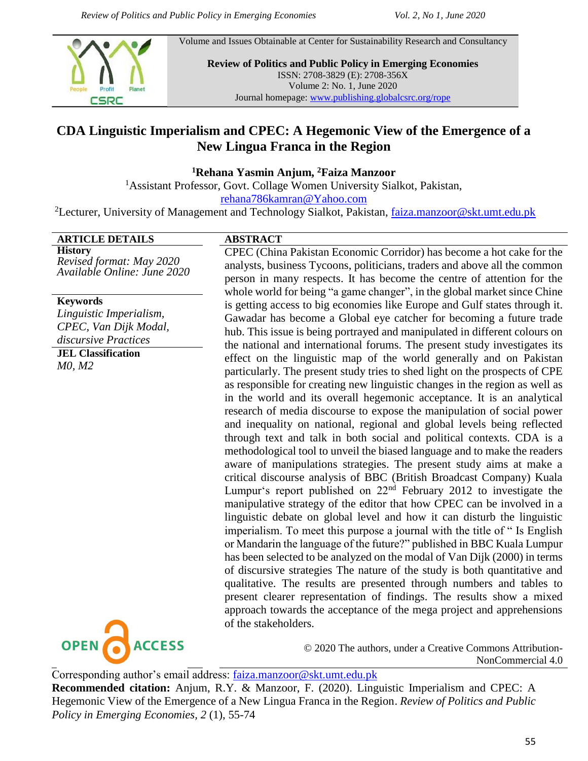Volume and Issues Obtainable at Center for Sustainability Research and Consultancy



**Review of Politics and Public Policy in Emerging Economies** ISSN: 2708-3829 (E): 2708-356X Volume 2: No. 1, June 2020 Journal homepage: [www.publishing.globalcsrc.org/rope](http://www.publishing.globalcsrc.org/rope)

CPEC (China Pakistan Economic Corridor) has become a hot cake for the analysts, business Tycoons, politicians, traders and above all the common person in many respects. It has become the centre of attention for the whole world for being "a game changer", in the global market since Chine is getting access to big economies like Europe and Gulf states through it. Gawadar has become a Global eye catcher for becoming a future trade hub. This issue is being portrayed and manipulated in different colours on the national and international forums. The present study investigates its effect on the linguistic map of the world generally and on Pakistan particularly. The present study tries to shed light on the prospects of CPE as responsible for creating new linguistic changes in the region as well as in the world and its overall hegemonic acceptance. It is an analytical research of media discourse to expose the manipulation of social power and inequality on national, regional and global levels being reflected through text and talk in both social and political contexts. CDA is a methodological tool to unveil the biased language and to make the readers aware of manipulations strategies. The present study aims at make a critical discourse analysis of BBC (British Broadcast Company) Kuala Lumpur's report published on  $22<sup>nd</sup>$  February 2012 to investigate the manipulative strategy of the editor that how CPEC can be involved in a linguistic debate on global level and how it can disturb the linguistic imperialism. To meet this purpose a journal with the title of " Is English or Mandarin the language of the future?" published in BBC Kuala Lumpur has been selected to be analyzed on the modal of Van Dijk (2000) in terms of discursive strategies The nature of the study is both quantitative and qualitative. The results are presented through numbers and tables to present clearer representation of findings. The results show a mixed approach towards the acceptance of the mega project and apprehensions

# **CDA Linguistic Imperialism and CPEC: A Hegemonic View of the Emergence of a New Lingua Franca in the Region**

**<sup>1</sup>Rehana Yasmin Anjum, <sup>2</sup>Faiza Manzoor**

<sup>1</sup> Assistant Professor, Govt. Collage Women University Sialkot, Pakistan, [rehana786kamran@Yahoo.com](mailto:rehana786kamran@Yahoo.com)

<sup>2</sup>Lecturer, University of Management and Technology Sialkot, Pakistan, [faiza.manzoor@skt.umt.edu.pk](mailto:faiza.manzoor@skt.umt.edu.pk)

#### **ARTICLE DETAILS ABSTRACT**

**History** *Revised format: May 2020 Available Online: June 2020*

#### **Keywords**

*Linguistic Imperialism, CPEC, Van Dijk Modal, discursive Practices*

**JEL Classification** *M0, M2*



© 2020 The authors, under a Creative Commons Attribution-NonCommercial 4.0

Corresponding author's email address: [faiza.manzoor@skt.umt.edu.pk](mailto:faiza.manzoor@skt.umt.edu.pk) **Recommended citation:** Anjum, R.Y. & Manzoor, F. (2020). Linguistic Imperialism and CPEC: A Hegemonic View of the Emergence of a New Lingua Franca in the Region. *Review of Politics and Public Policy in Emerging Economies, 2* (1), 55-74

of the stakeholders.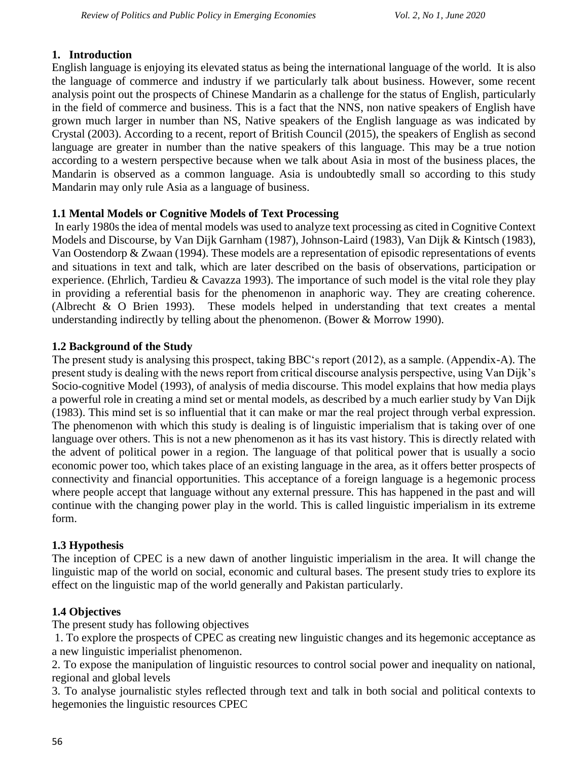#### **1. Introduction**

English language is enjoying its elevated status as being the international language of the world. It is also the language of commerce and industry if we particularly talk about business. However, some recent analysis point out the prospects of Chinese Mandarin as a challenge for the status of English, particularly in the field of commerce and business. This is a fact that the NNS, non native speakers of English have grown much larger in number than NS, Native speakers of the English language as was indicated by Crystal (2003). According to a recent, report of British Council (2015), the speakers of English as second language are greater in number than the native speakers of this language. This may be a true notion according to a western perspective because when we talk about Asia in most of the business places, the Mandarin is observed as a common language. Asia is undoubtedly small so according to this study Mandarin may only rule Asia as a language of business.

## **1.1 Mental Models or Cognitive Models of Text Processing**

In early 1980s the idea of mental models was used to analyze text processing as cited in Cognitive Context Models and Discourse, by Van Dijk Garnham (1987), Johnson-Laird (1983), Van Dijk & Kintsch (1983), Van Oostendorp & Zwaan (1994). These models are a representation of episodic representations of events and situations in text and talk, which are later described on the basis of observations, participation or experience. (Ehrlich, Tardieu & Cavazza 1993). The importance of such model is the vital role they play in providing a referential basis for the phenomenon in anaphoric way. They are creating coherence. (Albrecht & O Brien 1993). These models helped in understanding that text creates a mental understanding indirectly by telling about the phenomenon. (Bower & Morrow 1990).

## **1.2 Background of the Study**

The present study is analysing this prospect, taking BBC's report (2012), as a sample. (Appendix-A). The present study is dealing with the news report from critical discourse analysis perspective, using Van Dijk's Socio-cognitive Model (1993), of analysis of media discourse. This model explains that how media plays a powerful role in creating a mind set or mental models, as described by a much earlier study by Van Dijk (1983). This mind set is so influential that it can make or mar the real project through verbal expression. The phenomenon with which this study is dealing is of linguistic imperialism that is taking over of one language over others. This is not a new phenomenon as it has its vast history. This is directly related with the advent of political power in a region. The language of that political power that is usually a socio economic power too, which takes place of an existing language in the area, as it offers better prospects of connectivity and financial opportunities. This acceptance of a foreign language is a hegemonic process where people accept that language without any external pressure. This has happened in the past and will continue with the changing power play in the world. This is called linguistic imperialism in its extreme form.

# **1.3 Hypothesis**

The inception of CPEC is a new dawn of another linguistic imperialism in the area. It will change the linguistic map of the world on social, economic and cultural bases. The present study tries to explore its effect on the linguistic map of the world generally and Pakistan particularly.

# **1.4 Objectives**

The present study has following objectives

1. To explore the prospects of CPEC as creating new linguistic changes and its hegemonic acceptance as a new linguistic imperialist phenomenon.

2. To expose the manipulation of linguistic resources to control social power and inequality on national, regional and global levels

3. To analyse journalistic styles reflected through text and talk in both social and political contexts to hegemonies the linguistic resources CPEC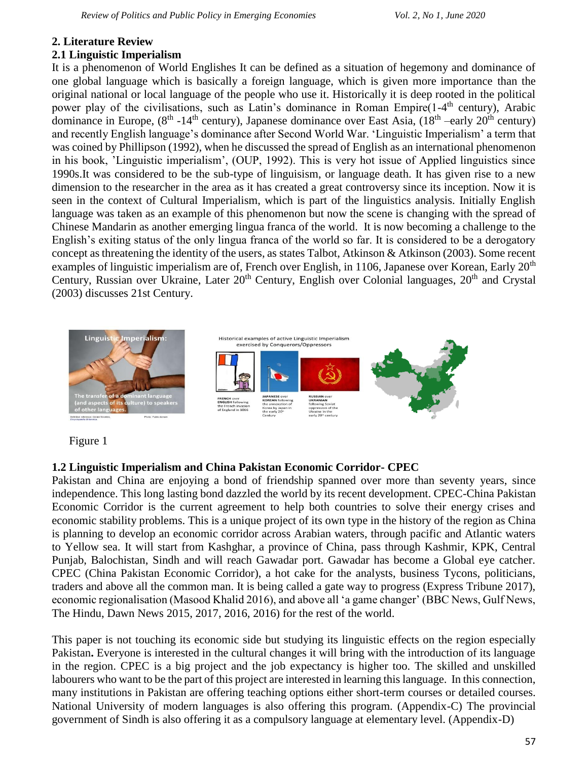#### **2. Literature Review**

#### **2.1 Linguistic Imperialism**

It is a phenomenon of World Englishes It can be defined as a situation of hegemony and dominance of one global language which is basically a foreign language, which is given more importance than the original national or local language of the people who use it. Historically it is deep rooted in the political power play of the civilisations, such as Latin's dominance in Roman Empire(1-4<sup>th</sup> century), Arabic dominance in Europe,  $(8^{th} - 14^{th}$  century), Japanese dominance over East Asia,  $(18^{th} -$ early  $20^{th}$  century) and recently English language's dominance after Second World War. 'Linguistic Imperialism' a term that was coined by Phillipson (1992), when he discussed the spread of English as an international phenomenon in his book, 'Linguistic imperialism', (OUP, 1992). This is very hot issue of Applied linguistics since 1990s.It was considered to be the sub-type of linguisism, or language death. It has given rise to a new dimension to the researcher in the area as it has created a great controversy since its inception. Now it is seen in the context of Cultural Imperialism, which is part of the linguistics analysis. Initially English language was taken as an example of this phenomenon but now the scene is changing with the spread of Chinese Mandarin as another emerging lingua franca of the world. It is now becoming a challenge to the English's exiting status of the only lingua franca of the world so far. It is considered to be a derogatory concept as threatening the identity of the users, as states Talbot, Atkinson & Atkinson (2003). Some recent examples of linguistic imperialism are of, French over English, in 1106, Japanese over Korean, Early 20<sup>th</sup> Century, Russian over Ukraine, Later 20<sup>th</sup> Century, English over Colonial languages, 20<sup>th</sup> and Crystal (2003) discusses 21st Century.



Figure 1

#### **1.2 Linguistic Imperialism and China Pakistan Economic Corridor- CPEC**

Pakistan and China are enjoying a bond of friendship spanned over more than seventy years, since independence. This long lasting bond dazzled the world by its recent development. CPEC-China Pakistan Economic Corridor is the current agreement to help both countries to solve their energy crises and economic stability problems. This is a unique project of its own type in the history of the region as China is planning to develop an economic corridor across Arabian waters, through pacific and Atlantic waters to Yellow sea. It will start from Kashghar, a province of China, pass through Kashmir, KPK, Central Punjab, Balochistan, Sindh and will reach Gawadar port. Gawadar has become a Global eye catcher. CPEC (China Pakistan Economic Corridor), a hot cake for the analysts, business Tycons, politicians, traders and above all the common man. It is being called a gate way to progress (Express Tribune 2017), economic regionalisation (Masood Khalid 2016), and above all 'a game changer' (BBC News, Gulf News, The Hindu, Dawn News 2015, 2017, 2016, 2016) for the rest of the world.

This paper is not touching its economic side but studying its linguistic effects on the region especially Pakistan. Everyone is interested in the cultural changes it will bring with the introduction of its language in the region. CPEC is a big project and the job expectancy is higher too. The skilled and unskilled labourers who want to be the part of this project are interested in learning this language. In this connection, many institutions in Pakistan are offering teaching options either short-term courses or detailed courses. National University of modern languages is also offering this program. (Appendix-C) The provincial government of Sindh is also offering it as a compulsory language at elementary level. (Appendix-D)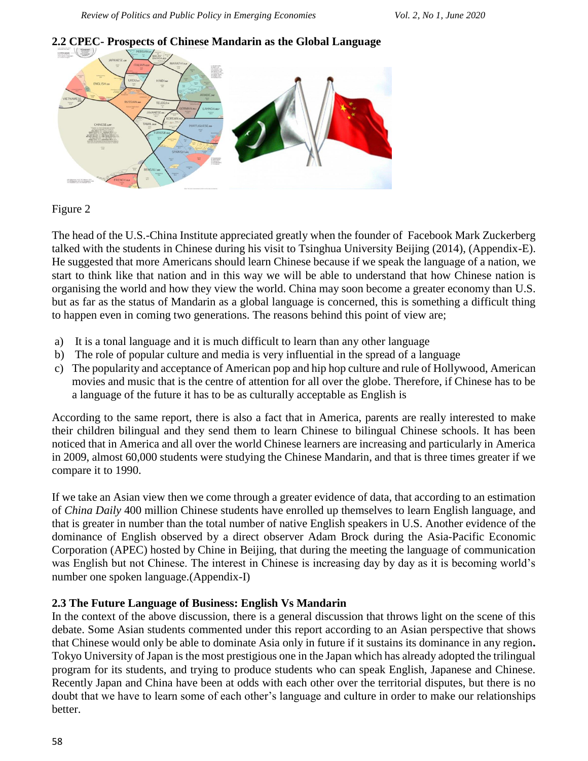

# **2.2 CPEC- Prospects of Chinese Mandarin as the Global Language**

Figure 2

The head of the U.S.-China Institute appreciated greatly when the founder of Facebook Mark Zuckerberg talked with the students in Chinese during his visit to Tsinghua University Beijing (2014), (Appendix-E). He suggested that more Americans should learn Chinese because if we speak the language of a nation, we start to think like that nation and in this way we will be able to understand that how Chinese nation is organising the world and how they view the world. China may soon become a greater economy than U.S. but as far as the status of Mandarin as a global language is concerned, this is something a difficult thing to happen even in coming two generations. The reasons behind this point of view are;

- a) It is a tonal language and it is much difficult to learn than any other language
- b) The role of popular culture and media is very influential in the spread of a language
- c) The popularity and acceptance of American pop and hip hop culture and rule of Hollywood, American movies and music that is the centre of attention for all over the globe. Therefore, if Chinese has to be a language of the future it has to be as culturally acceptable as English is

According to the same report, there is also a fact that in America, parents are really interested to make their children bilingual and they send them to learn Chinese to bilingual Chinese schools. It has been noticed that in America and all over the world Chinese learners are increasing and particularly in America in 2009, almost 60,000 students were studying the Chinese Mandarin, and that is three times greater if we compare it to 1990.

If we take an Asian view then we come through a greater evidence of data, that according to an estimation of *China Daily* 400 million Chinese students have enrolled up themselves to learn English language, and that is greater in number than the total number of native English speakers in U.S. Another evidence of the dominance of English observed by a direct observer Adam Brock during the Asia-Pacific Economic Corporation (APEC) hosted by Chine in Beijing, that during the meeting the language of communication was English but not Chinese. The interest in Chinese is increasing day by day as it is becoming world's number one spoken language.(Appendix-I)

# **2.3 The Future Language of Business: English Vs Mandarin**

In the context of the above discussion, there is a general discussion that throws light on the scene of this debate. Some Asian students commented under this report according to an Asian perspective that shows that Chinese would only be able to dominate Asia only in future if it sustains its dominance in any region**.** Tokyo University of Japan is the most prestigious one in the Japan which has already adopted the trilingual program for its students, and trying to produce students who can speak English, Japanese and Chinese. Recently Japan and China have been at odds with each other over the territorial disputes, but there is no doubt that we have to learn some of each other's language and culture in order to make our relationships better.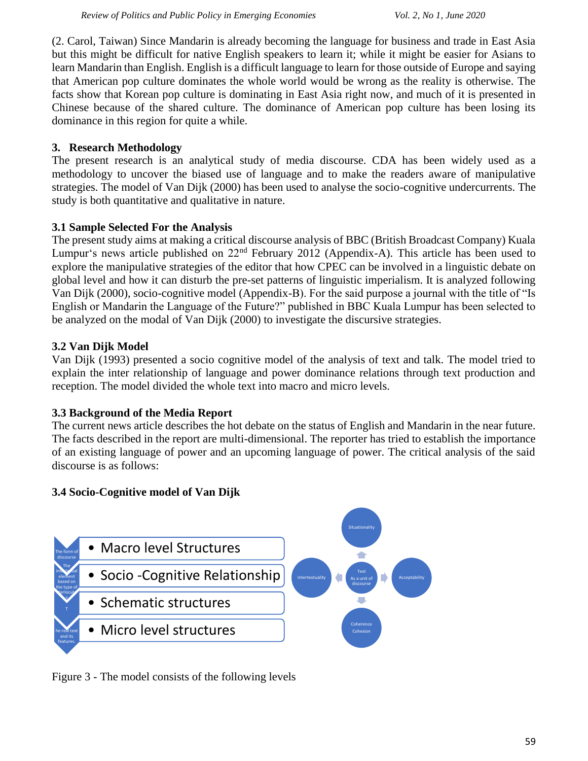(2. Carol, Taiwan) Since Mandarin is already becoming the language for business and trade in East Asia but this might be difficult for native English speakers to learn it; while it might be easier for Asians to learn Mandarin than English. English is a difficult language to learn for those outside of Europe and saying that American pop culture dominates the whole world would be wrong as the reality is otherwise. The facts show that Korean pop culture is dominating in East Asia right now, and much of it is presented in Chinese because of the shared culture. The dominance of American pop culture has been losing its dominance in this region for quite a while.

# **3. Research Methodology**

The present research is an analytical study of media discourse. CDA has been widely used as a methodology to uncover the biased use of language and to make the readers aware of manipulative strategies. The model of Van Dijk (2000) has been used to analyse the socio-cognitive undercurrents. The study is both quantitative and qualitative in nature.

# **3.1 Sample Selected For the Analysis**

The present study aims at making a critical discourse analysis of BBC (British Broadcast Company) Kuala Lumpur's news article published on 22nd February 2012 (Appendix-A). This article has been used to explore the manipulative strategies of the editor that how CPEC can be involved in a linguistic debate on global level and how it can disturb the pre-set patterns of linguistic imperialism. It is analyzed following Van Dijk (2000), socio-cognitive model (Appendix-B). For the said purpose a journal with the title of "Is English or Mandarin the Language of the Future?" published in BBC Kuala Lumpur has been selected to be analyzed on the modal of Van Dijk (2000) to investigate the discursive strategies.

# **3.2 Van Dijk Model**

Van Dijk (1993) presented a socio cognitive model of the analysis of text and talk. The model tried to explain the inter relationship of language and power dominance relations through text production and reception. The model divided the whole text into macro and micro levels.

# **3.3 Background of the Media Report**

The current news article describes the hot debate on the status of English and Mandarin in the near future. The facts described in the report are multi-dimensional. The reporter has tried to establish the importance of an existing language of power and an upcoming language of power. The critical analysis of the said discourse is as follows:

# **3.4 Socio-Cognitive model of Van Dijk**



Figure 3 - The model consists of the following levels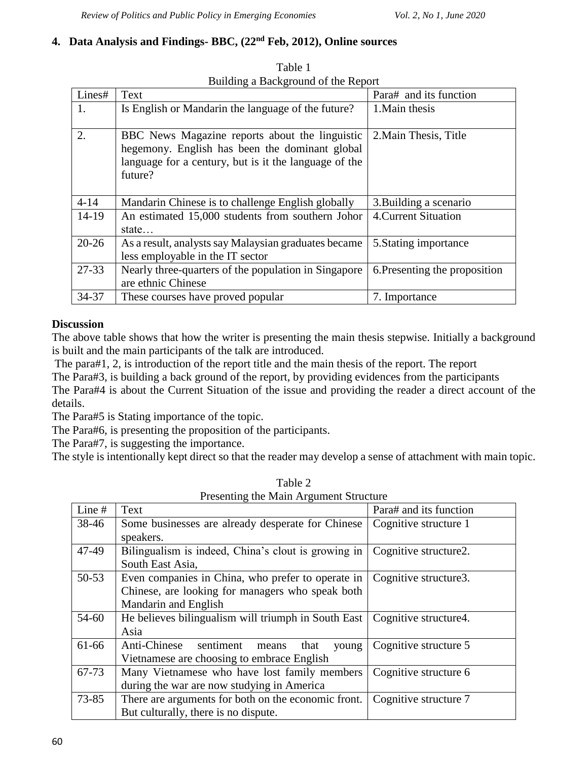# **4. Data Analysis and Findings- BBC, (22nd Feb, 2012), Online sources**

|           | Bunding a Background of the Report                    |                               |
|-----------|-------------------------------------------------------|-------------------------------|
| Lines#    | Text                                                  | Para# and its function        |
| 1.        | Is English or Mandarin the language of the future?    | 1. Main thesis                |
|           |                                                       |                               |
| 2.        | BBC News Magazine reports about the linguistic        | 2. Main Thesis, Title         |
|           | hegemony. English has been the dominant global        |                               |
|           | language for a century, but is it the language of the |                               |
|           | future?                                               |                               |
|           |                                                       |                               |
| $4 - 14$  | Mandarin Chinese is to challenge English globally     | 3. Building a scenario        |
| $14-19$   | An estimated 15,000 students from southern Johor      | <b>4. Current Situation</b>   |
|           | state $\dots$                                         |                               |
| $20 - 26$ | As a result, analysts say Malaysian graduates became  | 5. Stating importance         |
|           | less employable in the IT sector                      |                               |
| $27 - 33$ | Nearly three-quarters of the population in Singapore  | 6. Presenting the proposition |
|           | are ethnic Chinese                                    |                               |
| 34-37     | These courses have proved popular                     | 7. Importance                 |

Table 1 Building a Background of the Report

#### **Discussion**

The above table shows that how the writer is presenting the main thesis stepwise. Initially a background is built and the main participants of the talk are introduced.

The para#1, 2, is introduction of the report title and the main thesis of the report. The report

The Para#3, is building a back ground of the report, by providing evidences from the participants The Para#4 is about the Current Situation of the issue and providing the reader a direct account of the details.

The Para#5 is Stating importance of the topic.

The Para#6, is presenting the proposition of the participants.

The Para#7, is suggesting the importance.

The style is intentionally kept direct so that the reader may develop a sense of attachment with main topic.

| I resemming the main <i>I</i> segument but acture |                                                     |                        |  |  |
|---------------------------------------------------|-----------------------------------------------------|------------------------|--|--|
| Line #                                            | Text                                                | Para# and its function |  |  |
| 38-46                                             | Some businesses are already desperate for Chinese   | Cognitive structure 1  |  |  |
|                                                   | speakers.                                           |                        |  |  |
| 47-49                                             | Bilingualism is indeed, China's clout is growing in | Cognitive structure2.  |  |  |
|                                                   | South East Asia,                                    |                        |  |  |
| $50 - 53$                                         | Even companies in China, who prefer to operate in   | Cognitive structure3.  |  |  |
|                                                   | Chinese, are looking for managers who speak both    |                        |  |  |
|                                                   | Mandarin and English                                |                        |  |  |
| 54-60                                             | He believes bilingualism will triumph in South East | Cognitive structure4.  |  |  |
|                                                   | Asia                                                |                        |  |  |
| 61-66                                             | Anti-Chinese<br>sentiment<br>that<br>young<br>means | Cognitive structure 5  |  |  |
|                                                   | Vietnamese are choosing to embrace English          |                        |  |  |
| 67-73                                             | Many Vietnamese who have lost family members        | Cognitive structure 6  |  |  |
|                                                   | during the war are now studying in America          |                        |  |  |
| $73 - 85$                                         | There are arguments for both on the economic front. | Cognitive structure 7  |  |  |
|                                                   | But culturally, there is no dispute.                |                        |  |  |
|                                                   |                                                     |                        |  |  |

Table 2 Presenting the Main Argument Structure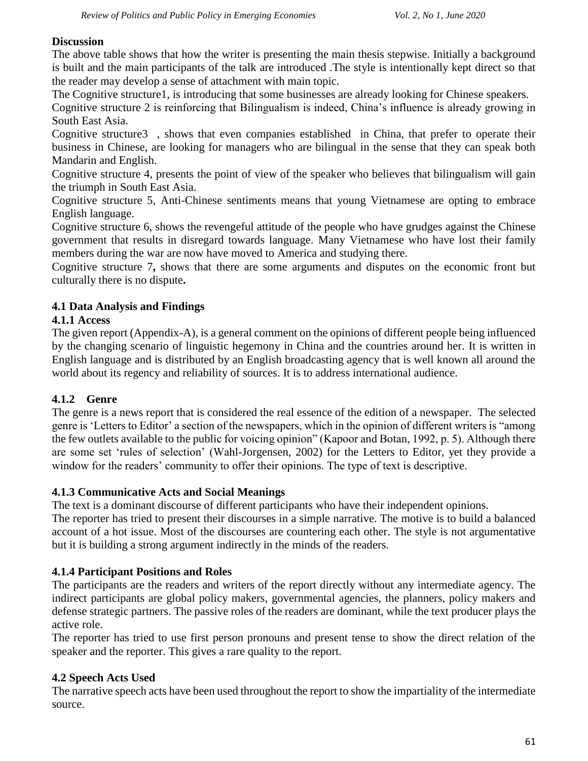#### **Discussion**

The above table shows that how the writer is presenting the main thesis stepwise. Initially a background is built and the main participants of the talk are introduced .The style is intentionally kept direct so that the reader may develop a sense of attachment with main topic.

The Cognitive structure1, is introducing that some businesses are already looking for Chinese speakers.

Cognitive structure 2 is reinforcing that Bilingualism is indeed, China's influence is already growing in South East Asia.

Cognitive structure3, shows that even companies established in China, that prefer to operate their business in Chinese, are looking for managers who are bilingual in the sense that they can speak both Mandarin and English.

Cognitive structure 4, presents the point of view of the speaker who believes that bilingualism will gain the triumph in South East Asia.

Cognitive structure 5, Anti-Chinese sentiments means that young Vietnamese are opting to embrace English language.

Cognitive structure 6, shows the revengeful attitude of the people who have grudges against the Chinese government that results in disregard towards language. Many Vietnamese who have lost their family members during the war are now have moved to America and studying there.

Cognitive structure 7**,** shows that there are some arguments and disputes on the economic front but culturally there is no dispute**.**

## **4.1 Data Analysis and Findings**

#### **4.1.1 Access**

The given report (Appendix-A), is a general comment on the opinions of different people being influenced by the changing scenario of linguistic hegemony in China and the countries around her*.* It is written in English language and is distributed by an English broadcasting agency that is well known all around the world about its regency and reliability of sources. It is to address international audience.

#### **4.1.2 Genre**

The genre is a news report that is considered the real essence of the edition of a newspaper. The selected genre is 'Letters to Editor' a section of the newspapers, which in the opinion of different writers is "among the few outlets available to the public for voicing opinion" (Kapoor and Botan, 1992, p. 5). Although there are some set 'rules of selection' (Wahl-Jorgensen, 2002) for the Letters to Editor, yet they provide a window for the readers' community to offer their opinions. The type of text is descriptive.

#### **4.1.3 Communicative Acts and Social Meanings**

The text is a dominant discourse of different participants who have their independent opinions.

The reporter has tried to present their discourses in a simple narrative. The motive is to build a balanced account of a hot issue. Most of the discourses are countering each other. The style is not argumentative but it is building a strong argument indirectly in the minds of the readers.

#### **4.1.4 Participant Positions and Roles**

The participants are the readers and writers of the report directly without any intermediate agency. The indirect participants are global policy makers, governmental agencies, the planners, policy makers and defense strategic partners. The passive roles of the readers are dominant, while the text producer plays the active role.

The reporter has tried to use first person pronouns and present tense to show the direct relation of the speaker and the reporter. This gives a rare quality to the report.

#### **4.2 Speech Acts Used**

The narrative speech acts have been used throughout the report to show the impartiality of the intermediate source.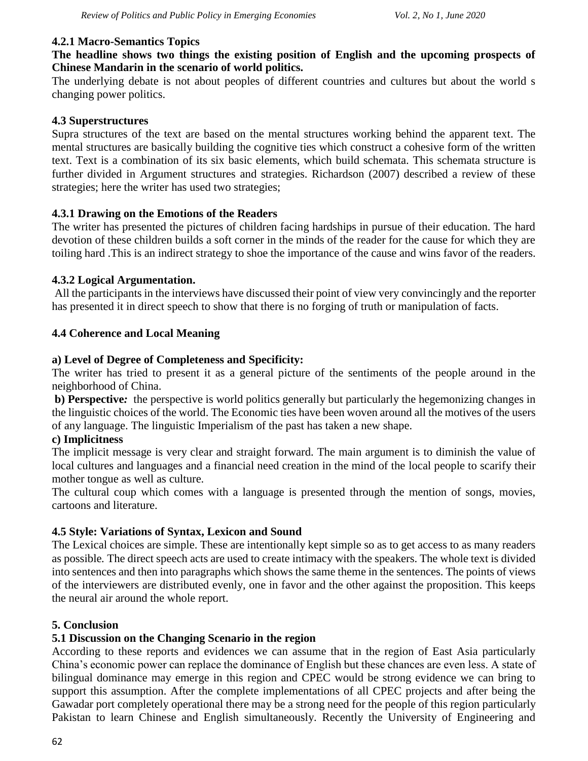#### **4.2.1 Macro-Semantics Topics**

**The headline shows two things the existing position of English and the upcoming prospects of Chinese Mandarin in the scenario of world politics.**

The underlying debate is not about peoples of different countries and cultures but about the world s changing power politics.

#### **4.3 Superstructures**

Supra structures of the text are based on the mental structures working behind the apparent text. The mental structures are basically building the cognitive ties which construct a cohesive form of the written text. Text is a combination of its six basic elements, which build schemata. This schemata structure is further divided in Argument structures and strategies. Richardson (2007) described a review of these strategies; here the writer has used two strategies;

#### **4.3.1 Drawing on the Emotions of the Readers**

The writer has presented the pictures of children facing hardships in pursue of their education. The hard devotion of these children builds a soft corner in the minds of the reader for the cause for which they are toiling hard .This is an indirect strategy to shoe the importance of the cause and wins favor of the readers.

#### **4.3.2 Logical Argumentation.**

All the participants in the interviews have discussed their point of view very convincingly and the reporter has presented it in direct speech to show that there is no forging of truth or manipulation of facts.

#### **4.4 Coherence and Local Meaning**

#### **a) Level of Degree of Completeness and Specificity:**

The writer has tried to present it as a general picture of the sentiments of the people around in the neighborhood of China.

**b) Perspective***:* the perspective is world politics generally but particularly the hegemonizing changes in the linguistic choices of the world. The Economic ties have been woven around all the motives of the users of any language. The linguistic Imperialism of the past has taken a new shape.

#### **c) Implicitness**

The implicit message is very clear and straight forward. The main argument is to diminish the value of local cultures and languages and a financial need creation in the mind of the local people to scarify their mother tongue as well as culture.

The cultural coup which comes with a language is presented through the mention of songs, movies, cartoons and literature.

#### **4.5 Style: Variations of Syntax, Lexicon and Sound**

The Lexical choices are simple. These are intentionally kept simple so as to get access to as many readers as possible*.* The direct speech acts are used to create intimacy with the speakers. The whole text is divided into sentences and then into paragraphs which shows the same theme in the sentences. The points of views of the interviewers are distributed evenly, one in favor and the other against the proposition. This keeps the neural air around the whole report.

#### **5. Conclusion**

#### **5.1 Discussion on the Changing Scenario in the region**

According to these reports and evidences we can assume that in the region of East Asia particularly China's economic power can replace the dominance of English but these chances are even less. A state of bilingual dominance may emerge in this region and CPEC would be strong evidence we can bring to support this assumption. After the complete implementations of all CPEC projects and after being the Gawadar port completely operational there may be a strong need for the people of this region particularly Pakistan to learn Chinese and English simultaneously. Recently the University of Engineering and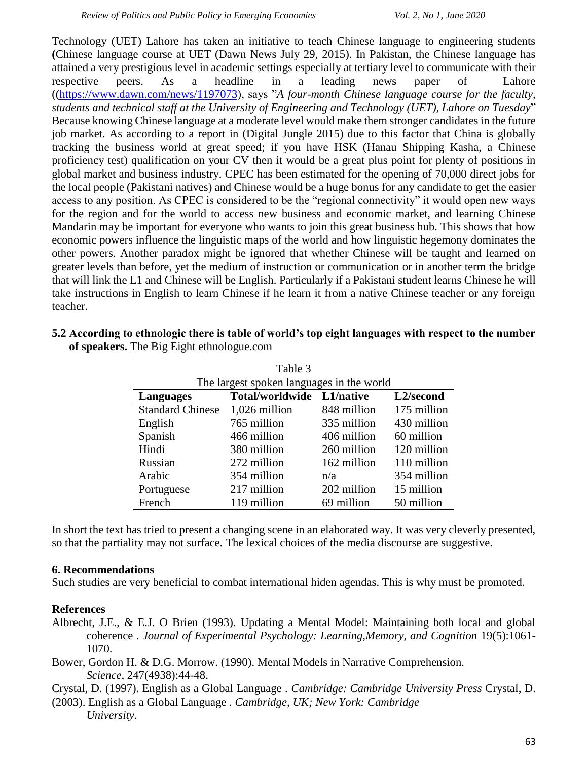Technology (UET) Lahore has taken an initiative to teach Chinese language to engineering students **(**Chinese language course at UET (Dawn News July 29, 2015). In Pakistan, the Chinese language has attained a very prestigious level in academic settings especially at tertiary level to communicate with their respective peers. As a headline in a leading news paper of Lahore ([\(https://www.dawn.com/news/1197073\)](https://www.dawn.com/news/1197073), says "*A four-month Chinese language course for the faculty, students and technical staff at the University of Engineering and Technology (UET), Lahore on Tuesday*" Because knowing Chinese language at a moderate level would make them stronger candidates in the future job market. As according to a report in (Digital Jungle 2015) due to this factor that China is globally tracking the business world at great speed; if you have HSK (Hanau Shipping Kasha, a Chinese proficiency test) qualification on your CV then it would be a great plus point for plenty of positions in global market and business industry. CPEC has been estimated for the opening of 70,000 direct jobs for the local people (Pakistani natives) and Chinese would be a huge bonus for any candidate to get the easier access to any position. As CPEC is considered to be the "regional connectivity" it would open new ways for the region and for the world to access new business and economic market, and learning Chinese Mandarin may be important for everyone who wants to join this great business hub. This shows that how economic powers influence the linguistic maps of the world and how linguistic hegemony dominates the other powers. Another paradox might be ignored that whether Chinese will be taught and learned on greater levels than before, yet the medium of instruction or communication or in another term the bridge that will link the L1 and Chinese will be English. Particularly if a Pakistani student learns Chinese he will take instructions in English to learn Chinese if he learn it from a native Chinese teacher or any foreign teacher.

**5.2 According to ethnologic there is table of world's top eight languages with respect to the number of speakers.** The Big Eight ethnologue.com

Table 3

| The largest spoken languages in the world |                 |             |             |  |  |
|-------------------------------------------|-----------------|-------------|-------------|--|--|
| <b>Languages</b>                          | Total/worldwide | L1/native   | L2/second   |  |  |
| <b>Standard Chinese</b>                   | 1,026 million   | 848 million | 175 million |  |  |
| English                                   | 765 million     | 335 million | 430 million |  |  |
| Spanish                                   | 466 million     | 406 million | 60 million  |  |  |
| Hindi                                     | 380 million     | 260 million | 120 million |  |  |
| Russian                                   | 272 million     | 162 million | 110 million |  |  |
| Arabic                                    | 354 million     | n/a         | 354 million |  |  |
| Portuguese                                | 217 million     | 202 million | 15 million  |  |  |
| French                                    | 119 million     | 69 million  | 50 million  |  |  |

In short the text has tried to present a changing scene in an elaborated way. It was very cleverly presented, so that the partiality may not surface. The lexical choices of the media discourse are suggestive.

#### **6. Recommendations**

Such studies are very beneficial to combat international hiden agendas. This is why must be promoted.

#### **References**

- Albrecht, J.E., & E.J. O Brien (1993). Updating a Mental Model: Maintaining both local and global coherence . *Journal of Experimental Psychology: Learning,Memory, and Cognition* 19(5):1061-1070.
- Bower, Gordon H. & D.G. Morrow. (1990). Mental Models in Narrative Comprehension. *Science*, 247(4938):44-48.

Crystal, D. (1997). English as a Global Language . *Cambridge: Cambridge University Press* Crystal, D. (2003). English as a Global Language . *Cambridge, UK; New York: Cambridge* 

*University.*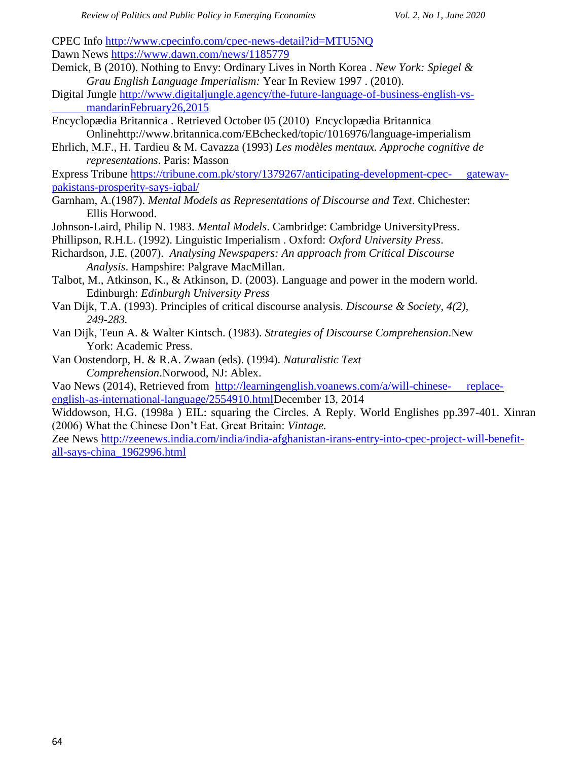CPEC Info<http://www.cpecinfo.com/cpec-news-detail?id=MTU5NQ>

Dawn News<https://www.dawn.com/news/1185779>

- Demick, B (2010). Nothing to Envy: Ordinary Lives in North Korea . *New York: Spiegel & Grau English Language Imperialism:* Year In Review 1997 . (2010).
- Digital Jungle [http://www.digitaljungle.agency/the-future-language-of-business-english-vs](http://www.digitaljungle.agency/the-future-language-of-business-english-vs-%09mandarinFebruary26,2015)[mandarinFebruary26,2015](http://www.digitaljungle.agency/the-future-language-of-business-english-vs-%09mandarinFebruary26,2015)
- Encyclopædia Britannica . Retrieved October 05 (2010) Encyclopædia Britannica Onlinehttp://www.britannica.com/EBchecked/topic/1016976/language-imperialism
- Ehrlich, M.F., H. Tardieu & M. Cavazza (1993) *Les modèles mentaux. Approche cognitive de representations*. Paris: Masson

Express Tribune [https://tribune.com.pk/story/1379267/anticipating-development-cpec-](https://tribune.com.pk/story/1379267/anticipating-development-cpec-%09gateway-pakistans-prosperity-says-iqbal/) gateway[pakistans-prosperity-says-iqbal/](https://tribune.com.pk/story/1379267/anticipating-development-cpec-%09gateway-pakistans-prosperity-says-iqbal/)

- Garnham, A.(1987). *Mental Models as Representations of Discourse and Text*. Chichester: Ellis Horwood.
- Johnson-Laird, Philip N. 1983. *Mental Models*. Cambridge: Cambridge UniversityPress.

Phillipson, R.H.L. (1992). Linguistic Imperialism . Oxford: *Oxford University Press*.

Richardson, J.E. (2007). *Analysing Newspapers: An approach from Critical Discourse Analysis*. Hampshire: Palgrave MacMillan.

Talbot, M., Atkinson, K., & Atkinson, D. (2003). Language and power in the modern world. Edinburgh: *Edinburgh University Press*

- Van Dijk, T.A. (1993). Principles of critical discourse analysis. *Discourse & Society, 4(2), 249-283.*
- Van Dijk, Teun A. & Walter Kintsch. (1983). *Strategies of Discourse Comprehension*.New York: Academic Press.
- Van Oostendorp, H. & R.A. Zwaan (eds). (1994). *Naturalistic Text Comprehension*.Norwood, NJ: Ablex.

Vao News (2014), Retrieved from [http://learningenglish.voanews.com/a/will-chinese-](http://learningenglish.voanews.com/a/will-chinese-%09replace-english-as-international-language/2554910.html) replace[english-as-international-language/2554910.htmlD](http://learningenglish.voanews.com/a/will-chinese-%09replace-english-as-international-language/2554910.html)ecember 13, 2014

Widdowson, H.G. (1998a ) EIL: squaring the Circles. A Reply. World Englishes pp.397-401. Xinran (2006) What the Chinese Don't Eat. Great Britain: *Vintage.*

Zee News [http://zeenews.india.com/india/india-afghanistan-irans-entry-into-cpec-project-will-benefit](http://zeenews.india.com/india/india-afghanistan-irans-entry-into-cpec-project-%09will-benefit-all-says-china_1962996.html)[all-says-china\\_1962996.html](http://zeenews.india.com/india/india-afghanistan-irans-entry-into-cpec-project-%09will-benefit-all-says-china_1962996.html)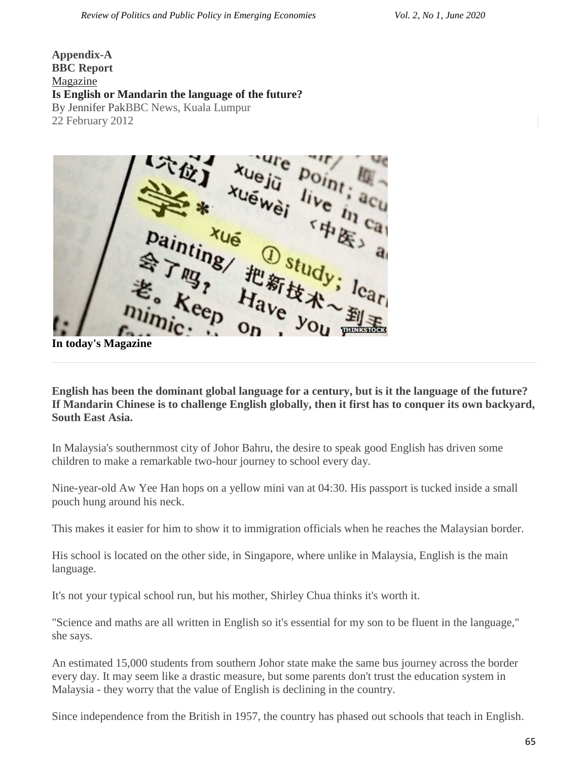**Appendix-A BBC Report** [Magazine](http://www.bbc.com/news/magazine) **Is English or Mandarin the language of the future?** By Jennifer PakBBC News, Kuala Lumpur 22 February 2012

**Point**: **RE**  $I_{i}v_{e}$ **ED Call Call xué** Painting, Postudy, **D** study; lear Have you

**In today's Magazine**

**English has been the dominant global language for a century, but is it the language of the future? If Mandarin Chinese is to challenge English globally, then it first has to conquer its own backyard, South East Asia.**

In Malaysia's southernmost city of Johor Bahru, the desire to speak good English has driven some children to make a remarkable two-hour journey to school every day.

Nine-year-old Aw Yee Han hops on a yellow mini van at 04:30. His passport is tucked inside a small pouch hung around his neck.

This makes it easier for him to show it to immigration officials when he reaches the Malaysian border.

His school is located on the other side, in Singapore, where unlike in Malaysia, English is the main language.

It's not your typical school run, but his mother, Shirley Chua thinks it's worth it.

"Science and maths are all written in English so it's essential for my son to be fluent in the language," she says.

An estimated 15,000 students from southern Johor state make the same bus journey across the border every day. It may seem like a drastic measure, but some parents don't trust the education system in Malaysia - they worry that the value of English is declining in the country.

Since independence from the British in 1957, the country has phased out schools that teach in English.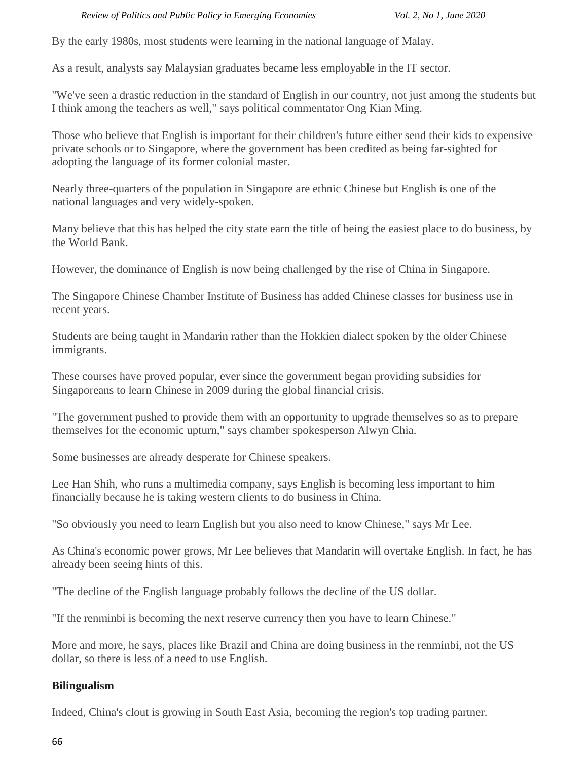#### *Review of Politics and Public Policy in Emerging Economies Vol. 2, No 1, June 2020*

By the early 1980s, most students were learning in the national language of Malay.

As a result, analysts say Malaysian graduates became less employable in the IT sector.

"We've seen a drastic reduction in the standard of English in our country, not just among the students but I think among the teachers as well," says political commentator Ong Kian Ming.

Those who believe that English is important for their children's future either send their kids to expensive private schools or to Singapore, where the government has been credited as being far-sighted for adopting the language of its former colonial master.

Nearly three-quarters of the population in Singapore are ethnic Chinese but English is one of the national languages and very widely-spoken.

Many believe that this has helped the city state earn the title of being the easiest place to do business, by the World Bank.

However, the dominance of English is now being challenged by the rise of China in Singapore.

The Singapore Chinese Chamber Institute of Business has added Chinese classes for business use in recent years.

Students are being taught in Mandarin rather than the Hokkien dialect spoken by the older Chinese immigrants.

These courses have proved popular, ever since the government began providing subsidies for Singaporeans to learn Chinese in 2009 during the global financial crisis.

"The government pushed to provide them with an opportunity to upgrade themselves so as to prepare themselves for the economic upturn," says chamber spokesperson Alwyn Chia.

Some businesses are already desperate for Chinese speakers.

Lee Han Shih, who runs a multimedia company, says English is becoming less important to him financially because he is taking western clients to do business in China.

"So obviously you need to learn English but you also need to know Chinese," says Mr Lee.

As China's economic power grows, Mr Lee believes that Mandarin will overtake English. In fact, he has already been seeing hints of this.

"The decline of the English language probably follows the decline of the US dollar.

"If the renminbi is becoming the next reserve currency then you have to learn Chinese."

More and more, he says, places like Brazil and China are doing business in the renminbi, not the US dollar, so there is less of a need to use English.

#### **Bilingualism**

Indeed, China's clout is growing in South East Asia, becoming the region's top trading partner.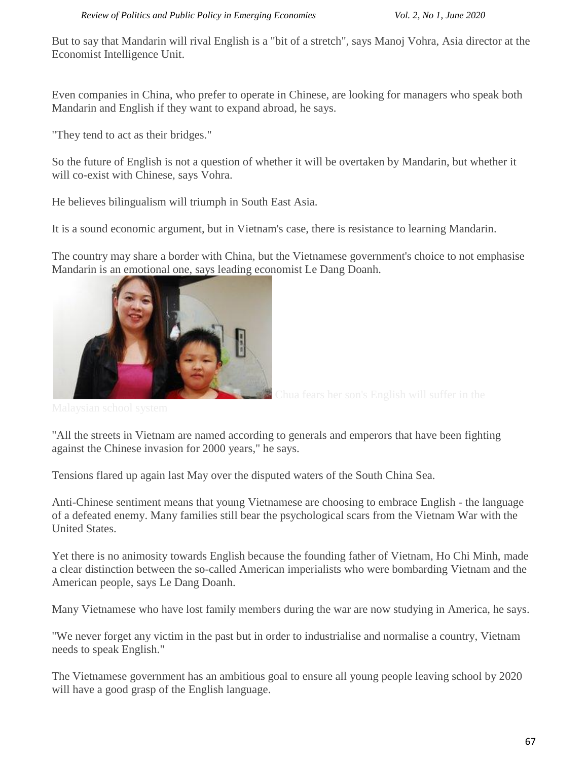But to say that Mandarin will rival English is a "bit of a stretch", says Manoj Vohra, Asia director at the Economist Intelligence Unit.

Even companies in China, who prefer to operate in Chinese, are looking for managers who speak both Mandarin and English if they want to expand abroad, he says.

"They tend to act as their bridges."

So the future of English is not a question of whether it will be overtaken by Mandarin, but whether it will co-exist with Chinese, says Vohra.

He believes bilingualism will triumph in South East Asia.

It is a sound economic argument, but in Vietnam's case, there is resistance to learning Mandarin.

The country may share a border with China, but the Vietnamese government's choice to not emphasise Mandarin is an emotional one, says leading economist Le Dang Doanh.



"All the streets in Vietnam are named according to generals and emperors that have been fighting against the Chinese invasion for 2000 years," he says.

Tensions flared up again last May over the disputed waters of the South China Sea.

Anti-Chinese sentiment means that young Vietnamese are choosing to embrace English - the language of a defeated enemy. Many families still bear the psychological scars from the Vietnam War with the United States.

Yet there is no animosity towards English because the founding father of Vietnam, Ho Chi Minh, made a clear distinction between the so-called American imperialists who were bombarding Vietnam and the American people, says Le Dang Doanh.

Many Vietnamese who have lost family members during the war are now studying in America, he says.

"We never forget any victim in the past but in order to industrialise and normalise a country, Vietnam needs to speak English."

The Vietnamese government has an ambitious goal to ensure all young people leaving school by 2020 will have a good grasp of the English language.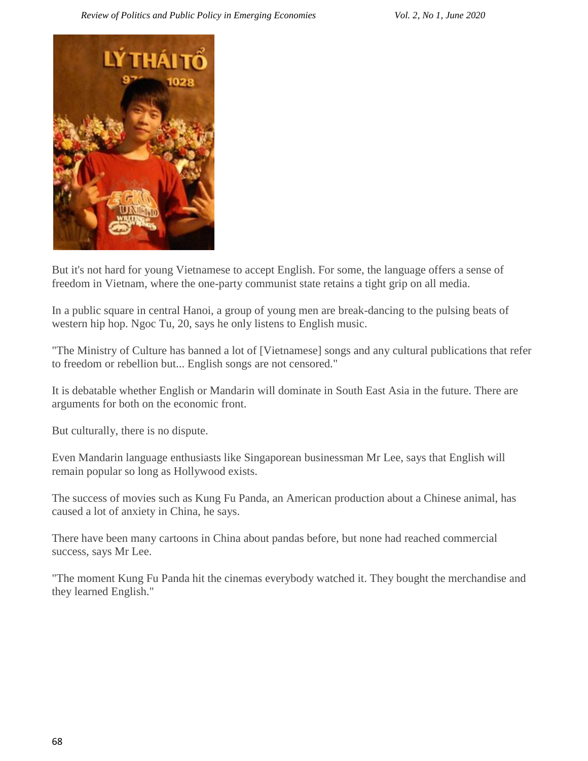

But it's not hard for young Vietnamese to accept English. For some, the language offers a sense of freedom in Vietnam, where the one-party communist state retains a tight grip on all media.

In a public square in central Hanoi, a group of young men are break-dancing to the pulsing beats of western hip hop. Ngoc Tu, 20, says he only listens to English music.

"The Ministry of Culture has banned a lot of [Vietnamese] songs and any cultural publications that refer to freedom or rebellion but... English songs are not censored."

It is debatable whether English or Mandarin will dominate in South East Asia in the future. There are arguments for both on the economic front.

But culturally, there is no dispute.

Even Mandarin language enthusiasts like Singaporean businessman Mr Lee, says that English will remain popular so long as Hollywood exists.

The success of movies such as Kung Fu Panda, an American production about a Chinese animal, has caused a lot of anxiety in China, he says.

There have been many cartoons in China about pandas before, but none had reached commercial success, says Mr Lee.

"The moment Kung Fu Panda hit the cinemas everybody watched it. They bought the merchandise and they learned English."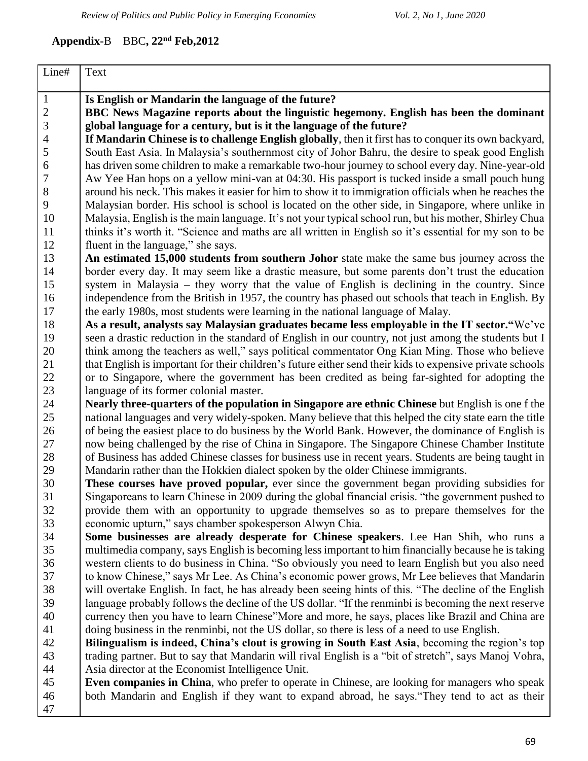# **Appendix-**B BBC**, 22nd Feb,2012**

| Line#          | Text                                                                                                                                                                                                    |
|----------------|---------------------------------------------------------------------------------------------------------------------------------------------------------------------------------------------------------|
| $\mathbf{1}$   | Is English or Mandarin the language of the future?                                                                                                                                                      |
| $\overline{c}$ | BBC News Magazine reports about the linguistic hegemony. English has been the dominant                                                                                                                  |
| $\mathfrak{Z}$ | global language for a century, but is it the language of the future?                                                                                                                                    |
| $\overline{4}$ | If Mandarin Chinese is to challenge English globally, then it first has to conquer its own backyard,                                                                                                    |
| 5              | South East Asia. In Malaysia's southernmost city of Johor Bahru, the desire to speak good English                                                                                                       |
| 6              | has driven some children to make a remarkable two-hour journey to school every day. Nine-year-old                                                                                                       |
| $\tau$         | Aw Yee Han hops on a yellow mini-van at 04:30. His passport is tucked inside a small pouch hung                                                                                                         |
| $8\,$          | around his neck. This makes it easier for him to show it to immigration officials when he reaches the                                                                                                   |
| 9              | Malaysian border. His school is school is located on the other side, in Singapore, where unlike in                                                                                                      |
| 10             | Malaysia, English is the main language. It's not your typical school run, but his mother, Shirley Chua                                                                                                  |
| 11             | thinks it's worth it. "Science and maths are all written in English so it's essential for my son to be                                                                                                  |
| 12             | fluent in the language," she says.                                                                                                                                                                      |
| 13             | An estimated 15,000 students from southern Johor state make the same bus journey across the                                                                                                             |
| 14             | border every day. It may seem like a drastic measure, but some parents don't trust the education                                                                                                        |
| 15             | system in Malaysia – they worry that the value of English is declining in the country. Since                                                                                                            |
| 16             | independence from the British in 1957, the country has phased out schools that teach in English. By                                                                                                     |
| 17             | the early 1980s, most students were learning in the national language of Malay.                                                                                                                         |
| 18             | As a result, analysts say Malaysian graduates became less employable in the IT sector."We've                                                                                                            |
| 19             | seen a drastic reduction in the standard of English in our country, not just among the students but I                                                                                                   |
| 20             | think among the teachers as well," says political commentator Ong Kian Ming. Those who believe                                                                                                          |
| 21             | that English is important for their children's future either send their kids to expensive private schools                                                                                               |
| 22             | or to Singapore, where the government has been credited as being far-sighted for adopting the                                                                                                           |
| 23             | language of its former colonial master.                                                                                                                                                                 |
| 24             | Nearly three-quarters of the population in Singapore are ethnic Chinese but English is one f the                                                                                                        |
| 25             | national languages and very widely-spoken. Many believe that this helped the city state earn the title                                                                                                  |
| 26<br>27       | of being the easiest place to do business by the World Bank. However, the dominance of English is                                                                                                       |
| 28             | now being challenged by the rise of China in Singapore. The Singapore Chinese Chamber Institute<br>of Business has added Chinese classes for business use in recent years. Students are being taught in |
| 29             | Mandarin rather than the Hokkien dialect spoken by the older Chinese immigrants.                                                                                                                        |
| 30             | These courses have proved popular, ever since the government began providing subsidies for                                                                                                              |
| 31             | Singaporeans to learn Chinese in 2009 during the global financial crisis. "the government pushed to                                                                                                     |
| 32             | provide them with an opportunity to upgrade themselves so as to prepare themselves for the                                                                                                              |
| 33             | economic upturn," says chamber spokesperson Alwyn Chia.                                                                                                                                                 |
| 34             | Some businesses are already desperate for Chinese speakers. Lee Han Shih, who runs a                                                                                                                    |
| 35             | multimedia company, says English is becoming less important to him financially because he is taking                                                                                                     |
| 36             | western clients to do business in China. "So obviously you need to learn English but you also need                                                                                                      |
| 37             | to know Chinese," says Mr Lee. As China's economic power grows, Mr Lee believes that Mandarin                                                                                                           |
| 38             | will overtake English. In fact, he has already been seeing hints of this. "The decline of the English                                                                                                   |
| 39             | language probably follows the decline of the US dollar. "If the renminbi is becoming the next reserve                                                                                                   |
| 40             | currency then you have to learn Chinese"More and more, he says, places like Brazil and China are                                                                                                        |
| 41             | doing business in the renminbi, not the US dollar, so there is less of a need to use English.                                                                                                           |
| 42             | Bilingualism is indeed, China's clout is growing in South East Asia, becoming the region's top                                                                                                          |
| 43             | trading partner. But to say that Mandarin will rival English is a "bit of stretch", says Manoj Vohra,                                                                                                   |
| 44             | Asia director at the Economist Intelligence Unit.                                                                                                                                                       |
| 45             | Even companies in China, who prefer to operate in Chinese, are looking for managers who speak                                                                                                           |
| 46             | both Mandarin and English if they want to expand abroad, he says. "They tend to act as their                                                                                                            |
| 47             |                                                                                                                                                                                                         |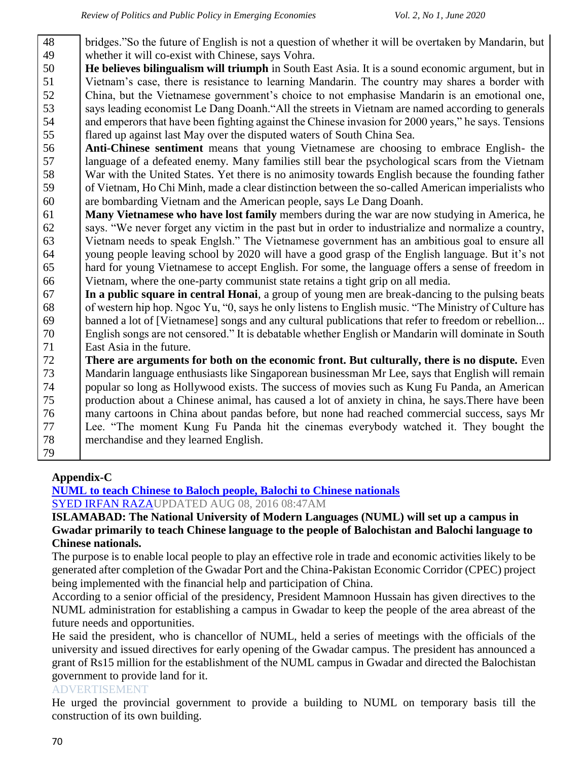48 49 50 51 52 53 54 55 56 57 58 59 60 61 62 63 64 65 66 67 68 69 70 71 72 73 74 75 76 77 78 79 bridges."So the future of English is not a question of whether it will be overtaken by Mandarin, but whether it will co-exist with Chinese, says Vohra. **He believes bilingualism will triumph** in South East Asia. It is a sound economic argument, but in Vietnam's case, there is resistance to learning Mandarin. The country may shares a border with China, but the Vietnamese government's choice to not emphasise Mandarin is an emotional one, says leading economist Le Dang Doanh."All the streets in Vietnam are named according to generals and emperors that have been fighting against the Chinese invasion for 2000 years," he says. Tensions flared up against last May over the disputed waters of South China Sea. **Anti-Chinese sentiment** means that young Vietnamese are choosing to embrace English- the language of a defeated enemy. Many families still bear the psychological scars from the Vietnam War with the United States. Yet there is no animosity towards English because the founding father of Vietnam, Ho Chi Minh, made a clear distinction between the so-called American imperialists who are bombarding Vietnam and the American people, says Le Dang Doanh. **Many Vietnamese who have lost family** members during the war are now studying in America, he says. "We never forget any victim in the past but in order to industrialize and normalize a country, Vietnam needs to speak Englsh." The Vietnamese government has an ambitious goal to ensure all young people leaving school by 2020 will have a good grasp of the English language. But it's not hard for young Vietnamese to accept English. For some, the language offers a sense of freedom in Vietnam, where the one-party communist state retains a tight grip on all media. **In a public square in central Honai**, a group of young men are break-dancing to the pulsing beats of western hip hop. Ngoc Yu, "0, says he only listens to English music. "The Ministry of Culture has banned a lot of [Vietnamese] songs and any cultural publications that refer to freedom or rebellion... English songs are not censored." It is debatable whether English or Mandarin will dominate in South East Asia in the future. **There are arguments for both on the economic front. But culturally, there is no dispute.** Even Mandarin language enthusiasts like Singaporean businessman Mr Lee, says that English will remain popular so long as Hollywood exists. The success of movies such as Kung Fu Panda, an American production about a Chinese animal, has caused a lot of anxiety in china, he says.There have been many cartoons in China about pandas before, but none had reached commercial success, says Mr Lee. "The moment Kung Fu Panda hit the cinemas everybody watched it. They bought the merchandise and they learned English.

# **Appendix-C**

**[NUML to teach Chinese to Baloch people, Balochi to Chinese nationals](https://www.dawn.com/news/1276116/numl-to-teach-chinese-to-baloch-people-balochi-to-chinese-nationals)**

[SYED IRFAN RAZAU](https://www.dawn.com/authors/482/syed-irfan-raza)PDATED AUG 08, 2016 08:47AM

**ISLAMABAD: The National University of Modern Languages (NUML) will set up a campus in Gwadar primarily to teach Chinese language to the people of Balochistan and Balochi language to Chinese nationals.**

The purpose is to enable local people to play an effective role in trade and economic activities likely to be generated after completion of the Gwadar Port and the China-Pakistan Economic Corridor (CPEC) project being implemented with the financial help and participation of China.

According to a senior official of the presidency, President Mamnoon Hussain has given directives to the NUML administration for establishing a campus in Gwadar to keep the people of the area abreast of the future needs and opportunities.

He said the president, who is chancellor of NUML, held a series of meetings with the officials of the university and issued directives for early opening of the Gwadar campus. The president has announced a grant of Rs15 million for the establishment of the NUML campus in Gwadar and directed the Balochistan government to provide land for it.

# ADVERTISEMENT

He urged the provincial government to provide a building to NUML on temporary basis till the construction of its own building.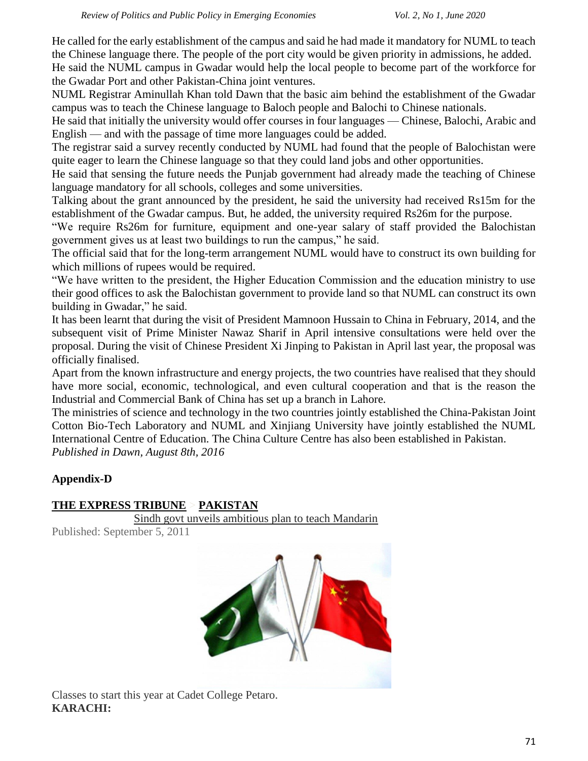He called for the early establishment of the campus and said he had made it mandatory for NUML to teach the Chinese language there. The people of the port city would be given priority in admissions, he added. He said the NUML campus in Gwadar would help the local people to become part of the workforce for the Gwadar Port and other Pakistan-China joint ventures.

NUML Registrar Aminullah Khan told Dawn that the basic aim behind the establishment of the Gwadar campus was to teach the Chinese language to Baloch people and Balochi to Chinese nationals.

He said that initially the university would offer courses in four languages — Chinese, Balochi, Arabic and English — and with the passage of time more languages could be added.

The registrar said a survey recently conducted by NUML had found that the people of Balochistan were quite eager to learn the Chinese language so that they could land jobs and other opportunities.

He said that sensing the future needs the Punjab government had already made the teaching of Chinese language mandatory for all schools, colleges and some universities.

Talking about the grant announced by the president, he said the university had received Rs15m for the establishment of the Gwadar campus. But, he added, the university required Rs26m for the purpose.

"We require Rs26m for furniture, equipment and one-year salary of staff provided the Balochistan government gives us at least two buildings to run the campus," he said.

The official said that for the long-term arrangement NUML would have to construct its own building for which millions of rupees would be required.

"We have written to the president, the Higher Education Commission and the education ministry to use their good offices to ask the Balochistan government to provide land so that NUML can construct its own building in Gwadar," he said.

It has been learnt that during the visit of President Mamnoon Hussain to China in February, 2014, and the subsequent visit of Prime Minister Nawaz Sharif in April intensive consultations were held over the proposal. During the visit of Chinese President Xi Jinping to Pakistan in April last year, the proposal was officially finalised.

Apart from the known infrastructure and energy projects, the two countries have realised that they should have more social, economic, technological, and even cultural cooperation and that is the reason the Industrial and Commercial Bank of China has set up a branch in Lahore.

The ministries of science and technology in the two countries jointly established the China-Pakistan Joint Cotton Bio-Tech Laboratory and NUML and Xinjiang University have jointly established the NUML International Centre of Education. The China Culture Centre has also been established in Pakistan. *Published in Dawn, August 8th, 2016*

# **Appendix-D**

# **[THE EXPRESS TRIBUNE](https://tribune.com.pk/)** > **[PAKISTAN](https://tribune.com.pk/pakistan/)**

[Sindh govt unveils ambitious plan to teach Mandarin](https://tribune.com.pk/story/244885/look-whos-talking-sindh-govt-unveils-ambitious-plan-to-teach-mandarin/) Published: September 5, 2011



Classes to start this year at Cadet College Petaro. **KARACHI:**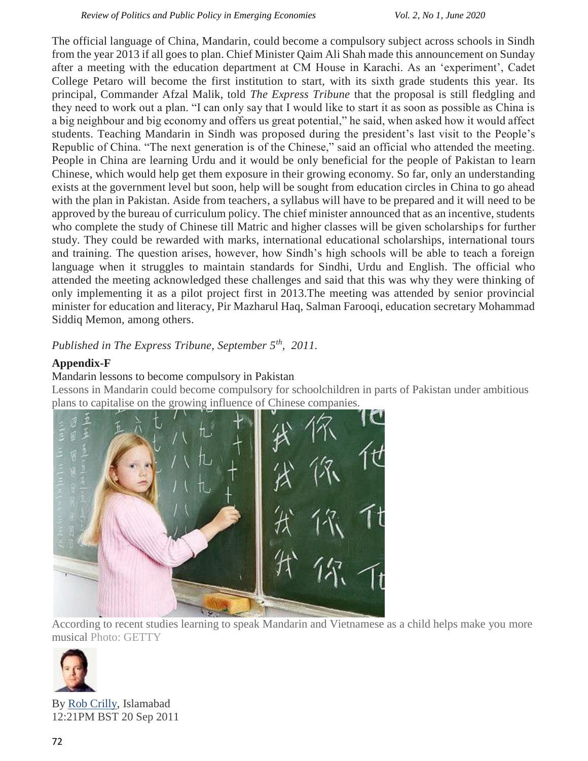The official language of China, Mandarin, could become a compulsory subject across schools in Sindh from the year 2013 if all goes to plan. Chief Minister Qaim Ali Shah made this announcement on Sunday after a meeting with the education department at CM House in Karachi. As an 'experiment', Cadet College Petaro will become the first institution to start, with its sixth grade students this year. Its principal, Commander Afzal Malik, told *The Express Tribune* that the proposal is still fledgling and they need to work out a plan. "I can only say that I would like to start it as soon as possible as China is a big neighbour and big economy and offers us great potential," he said, when asked how it would affect students. Teaching Mandarin in Sindh was proposed during the president's last visit to the People's Republic of China. "The next generation is of the Chinese," said an official who attended the meeting. People in China are learning Urdu and it would be only beneficial for the people of Pakistan to learn Chinese, which would help get them exposure in their growing economy. So far, only an understanding exists at the government level but soon, help will be sought from education circles in China to go ahead with the plan in Pakistan. Aside from teachers, a syllabus will have to be prepared and it will need to be approved by the bureau of curriculum policy. The chief minister announced that as an incentive, students who complete the study of Chinese till Matric and higher classes will be given scholarships for further study. They could be rewarded with marks, international educational scholarships, international tours and training. The question arises, however, how Sindh's high schools will be able to teach a foreign language when it struggles to maintain standards for Sindhi, Urdu and English. The official who attended the meeting acknowledged these challenges and said that this was why they were thinking of only implementing it as a pilot project first in 2013.The meeting was attended by senior provincial minister for education and literacy, Pir Mazharul Haq, Salman Farooqi, education secretary Mohammad Siddiq Memon, among others.

*Published in The Express Tribune, September 5th , 2011.*

# **Appendix-F**

Mandarin lessons to become compulsory in Pakistan

Lessons in Mandarin could become compulsory for schoolchildren in parts of Pakistan under ambitious plans to capitalise on the growing influence of Chinese companies.



According to recent studies learning to speak Mandarin and Vietnamese as a child helps make you more musical Photo: GETTY



By [Rob Crilly,](http://www.telegraph.co.uk/journalists/rob-crilly/) Islamabad 12:21PM BST 20 Sep 2011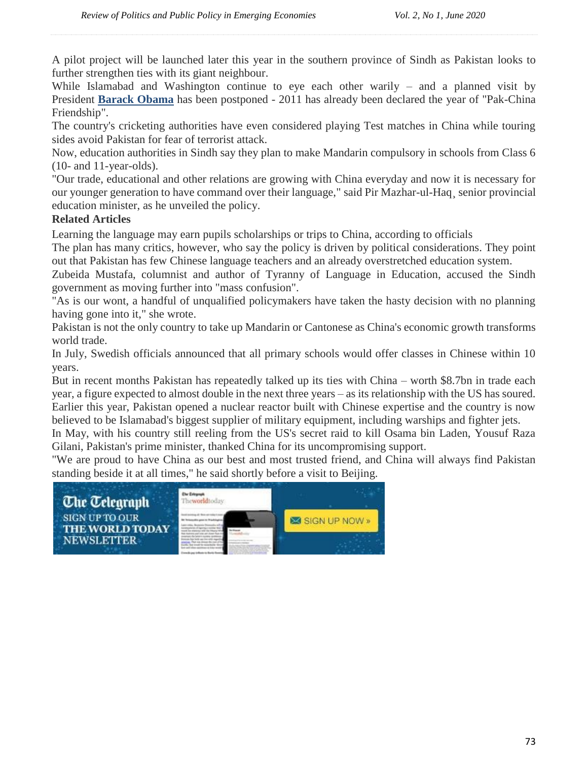A pilot project will be launched later this year in the southern province of Sindh as Pakistan looks to further strengthen ties with its giant neighbour.

While Islamabad and Washington continue to eye each other warily – and a planned visit by President **[Barack Obama](http://www.telegraph.co.uk/worldnews/barackobama)** has been postponed - 2011 has already been declared the year of "Pak-China Friendship".

The country's cricketing authorities have even considered playing Test matches in China while touring sides avoid Pakistan for fear of terrorist attack.

Now, education authorities in Sindh say they plan to make Mandarin compulsory in schools from Class 6 (10- and 11-year-olds).

"Our trade, educational and other relations are growing with China everyday and now it is necessary for our younger generation to have command over their language," said Pir Mazhar-ul-Haq¸ senior provincial education minister, as he unveiled the policy.

# **Related Articles**

Learning the language may earn pupils scholarships or trips to China, according to officials

The plan has many critics, however, who say the policy is driven by political considerations. They point out that Pakistan has few Chinese language teachers and an already overstretched education system.

Zubeida Mustafa, columnist and author of Tyranny of Language in Education, accused the Sindh government as moving further into "mass confusion".

"As is our wont, a handful of unqualified policymakers have taken the hasty decision with no planning having gone into it," she wrote.

Pakistan is not the only country to take up Mandarin or Cantonese as China's economic growth transforms world trade.

In July, Swedish officials announced that all primary schools would offer classes in Chinese within 10 years.

But in recent months Pakistan has repeatedly talked up its ties with China – worth \$8.7bn in trade each year, a figure expected to almost double in the next three years – as its relationship with the US has soured. Earlier this year, Pakistan opened a nuclear reactor built with Chinese expertise and the country is now believed to be Islamabad's biggest supplier of military equipment, including warships and fighter jets.

In May, with his country still reeling from the US's secret raid to kill Osama bin Laden, Yousuf Raza Gilani, Pakistan's prime minister, thanked China for its uncompromising support.

"We are proud to have China as our best and most trusted friend, and China will always find Pakistan standing beside it at all times," he said shortly before a visit to Beijing.